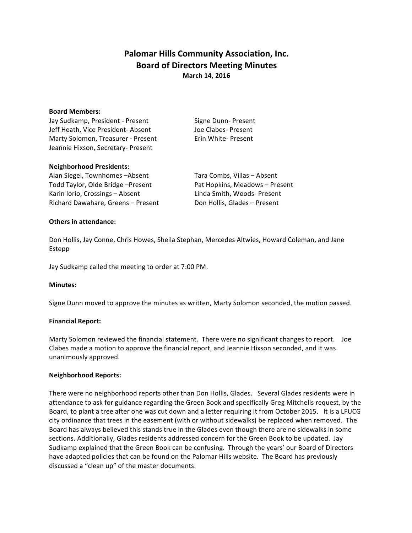# **Palomar Hills Community Association, Inc. Board of Directors Meeting Minutes March 14, 2016**

#### **Board Members:**

Jay Sudkamp, President - Present Signe Dunn- Present Jeff Heath, Vice President- Absent Joe Clabes- Present Marty Solomon, Treasurer - Present Erin White- Present Jeannie Hixson, Secretary- Present

#### **Neighborhood Presidents:**

Alan Siegel, Townhomes -Absent Tara Combs, Villas - Absent Todd Taylor, Olde Bridge –Present **Pat Hopkins, Meadows** – Present Karin Iorio, Crossings – Absent Linda Smith, Woods- Present Richard Dawahare, Greens – Present Don Hollis, Glades – Present

### **Others in attendance:**

Don Hollis, Jay Conne, Chris Howes, Sheila Stephan, Mercedes Altwies, Howard Coleman, and Jane Estepp

Jay Sudkamp called the meeting to order at 7:00 PM.

### **Minutes:**

Signe Dunn moved to approve the minutes as written, Marty Solomon seconded, the motion passed.

### **Financial Report:**

Marty Solomon reviewed the financial statement. There were no significant changes to report. Joe Clabes made a motion to approve the financial report, and Jeannie Hixson seconded, and it was unanimously approved.

### **Neighborhood Reports:**

There were no neighborhood reports other than Don Hollis, Glades. Several Glades residents were in attendance to ask for guidance regarding the Green Book and specifically Greg Mitchells request, by the Board, to plant a tree after one was cut down and a letter requiring it from October 2015. It is a LFUCG city ordinance that trees in the easement (with or without sidewalks) be replaced when removed. The Board has always believed this stands true in the Glades even though there are no sidewalks in some sections. Additionally, Glades residents addressed concern for the Green Book to be updated. Jay Sudkamp explained that the Green Book can be confusing. Through the years' our Board of Directors have adapted policies that can be found on the Palomar Hills website. The Board has previously discussed a "clean up" of the master documents.